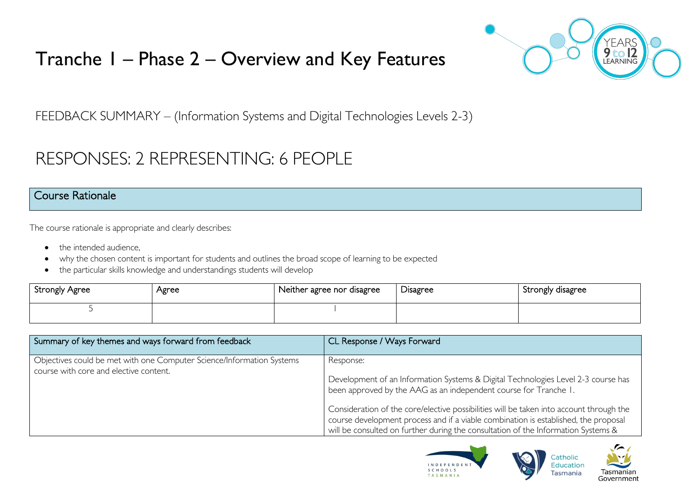# Tranche 1 – Phase 2 – Overview and Key Features



FEEDBACK SUMMARY – (Information Systems and Digital Technologies Levels 2-3)

# RESPONSES: 2 REPRESENTING: 6 PEOPLE

#### Course Rationale

The course rationale is appropriate and clearly describes:

- the intended audience.
- why the chosen content is important for students and outlines the broad scope of learning to be expected
- the particular skills knowledge and understandings students will develop

| <b>Strongly Agree</b> | Agree | Neither agree nor disagree | Disagree | Strongly disagree |
|-----------------------|-------|----------------------------|----------|-------------------|
|                       |       |                            |          |                   |

| Summary of key themes and ways forward from feedback                                                            | CL Response / Ways Forward                                                                                                                                                                                                                                                                                                                                                                                                                |
|-----------------------------------------------------------------------------------------------------------------|-------------------------------------------------------------------------------------------------------------------------------------------------------------------------------------------------------------------------------------------------------------------------------------------------------------------------------------------------------------------------------------------------------------------------------------------|
| Objectives could be met with one Computer Science/Information Systems<br>course with core and elective content. | Response:<br>Development of an Information Systems & Digital Technologies Level 2-3 course has<br>been approved by the AAG as an independent course for Tranche 1.<br>Consideration of the core/elective possibilities will be taken into account through the<br>course development process and if a viable combination is established, the proposal<br>will be consulted on further during the consultation of the Information Systems & |



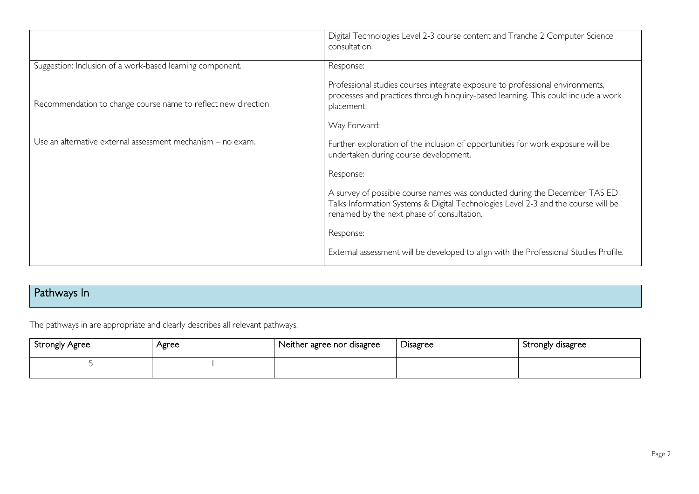|                                                                | Digital Technologies Level 2-3 course content and Tranche 2 Computer Science<br>consultation.                                                                                                                 |
|----------------------------------------------------------------|---------------------------------------------------------------------------------------------------------------------------------------------------------------------------------------------------------------|
| Suggestion: Inclusion of a work-based learning component.      | Response:                                                                                                                                                                                                     |
| Recommendation to change course name to reflect new direction. | Professional studies courses integrate exposure to professional environments,<br>processes and practices through hinquiry-based learning. This could include a work<br>placement.                             |
|                                                                | Way Forward:                                                                                                                                                                                                  |
| Use an alternative external assessment mechanism - no exam.    | Further exploration of the inclusion of opportunities for work exposure will be<br>undertaken during course development.                                                                                      |
|                                                                | Response:                                                                                                                                                                                                     |
|                                                                | A survey of possible course names was conducted during the December TAS ED<br>Talks Information Systems & Digital Technologies Level 2-3 and the course will be<br>renamed by the next phase of consultation. |
|                                                                | Response:                                                                                                                                                                                                     |
|                                                                | External assessment will be developed to align with the Professional Studies Profile.                                                                                                                         |

# Pathways In

The pathways in are appropriate and clearly describes all relevant pathways.

| <b>Strongly Agree</b> | Agree | Neither agree nor disagree | r.<br><b>Disagree</b> | Strongly disagree |
|-----------------------|-------|----------------------------|-----------------------|-------------------|
|                       |       |                            |                       |                   |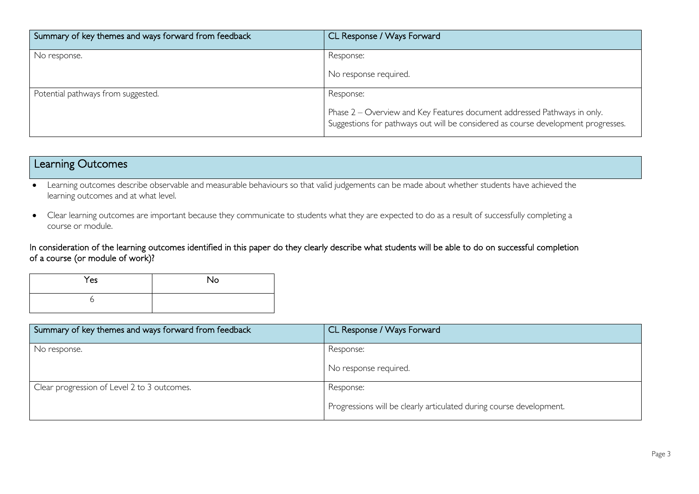| Summary of key themes and ways forward from feedback | CL Response / Ways Forward                                                                                                                                                 |
|------------------------------------------------------|----------------------------------------------------------------------------------------------------------------------------------------------------------------------------|
| No response.                                         | Response:<br>No response required.                                                                                                                                         |
| Potential pathways from suggested.                   | Response:<br>Phase 2 – Overview and Key Features document addressed Pathways in only.<br>Suggestions for pathways out will be considered as course development progresses. |

# Learning Outcomes

• Learning outcomes describe observable and measurable behaviours so that valid judgements can be made about whether students have achieved the learning outcomes and at what level.

• Clear learning outcomes are important because they communicate to students what they are expected to do as a result of successfully completing a course or module.

In consideration of the learning outcomes identified in this paper do they clearly describe what students will be able to do on successful completion of a course (or module of work)?

| Yes | No |
|-----|----|
|     |    |

| Summary of key themes and ways forward from feedback | CL Response / Ways Forward                                          |
|------------------------------------------------------|---------------------------------------------------------------------|
| No response.                                         | Response:                                                           |
|                                                      | No response required.                                               |
| Clear progression of Level 2 to 3 outcomes.          | Response:                                                           |
|                                                      | Progressions will be clearly articulated during course development. |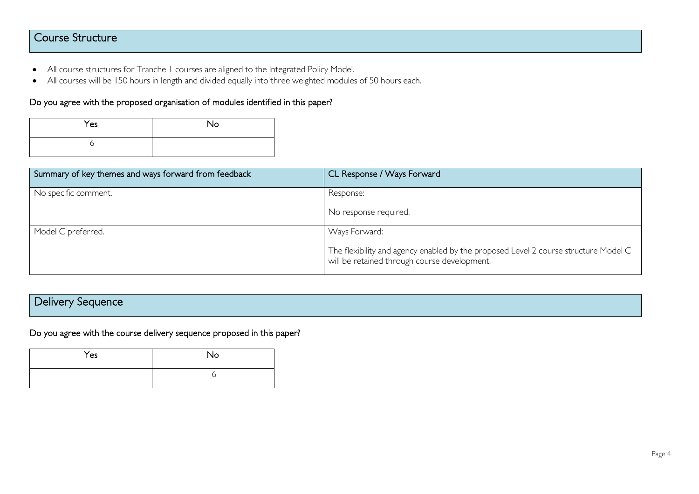## Course Structure

- All course structures for Tranche 1 courses are aligned to the Integrated Policy Model.
- All courses will be 150 hours in length and divided equally into three weighted modules of 50 hours each.

#### Do you agree with the proposed organisation of modules identified in this paper?

| Yes | <b>No</b> |
|-----|-----------|
|     |           |

| Summary of key themes and ways forward from feedback | CL Response / Ways Forward                                                                                                                           |
|------------------------------------------------------|------------------------------------------------------------------------------------------------------------------------------------------------------|
| No specific comment.                                 | Response:<br>No response required.                                                                                                                   |
| Model C preferred.                                   | Ways Forward:<br>The flexibility and agency enabled by the proposed Level 2 course structure Model C<br>will be retained through course development. |

## Delivery Sequence

Do you agree with the course delivery sequence proposed in this paper?

| Yes | No |
|-----|----|
|     |    |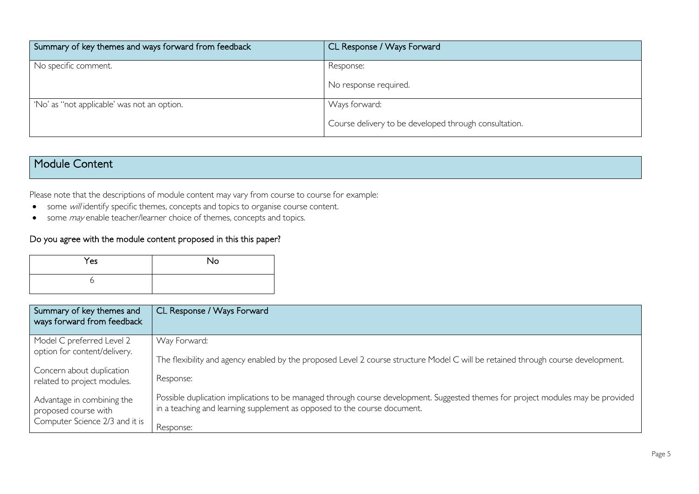| Summary of key themes and ways forward from feedback | CL Response / Ways Forward                            |
|------------------------------------------------------|-------------------------------------------------------|
| No specific comment.                                 | Response:<br>No response required.                    |
| No' as "not applicable' was not an option.           | Ways forward:                                         |
|                                                      | Course delivery to be developed through consultation. |

### Module Content

Please note that the descriptions of module content may vary from course to course for example:

- some will identify specific themes, concepts and topics to organise course content.
- some *may* enable teacher/learner choice of themes, concepts and topics.

#### Do you agree with the module content proposed in this this paper?

| Yes | No |
|-----|----|
|     |    |

| Summary of key themes and<br>ways forward from feedback  | CL Response / Ways Forward                                                                                                                                                                                   |
|----------------------------------------------------------|--------------------------------------------------------------------------------------------------------------------------------------------------------------------------------------------------------------|
| Model C preferred Level 2                                | Way Forward:                                                                                                                                                                                                 |
| option for content/delivery.                             | The flexibility and agency enabled by the proposed Level 2 course structure Model C will be retained through course development.                                                                             |
| Concern about duplication<br>related to project modules. | Response:                                                                                                                                                                                                    |
| Advantage in combining the<br>proposed course with       | Possible duplication implications to be managed through course development. Suggested themes for project modules may be provided<br>in a teaching and learning supplement as opposed to the course document. |
| Computer Science 2/3 and it is                           | Response:                                                                                                                                                                                                    |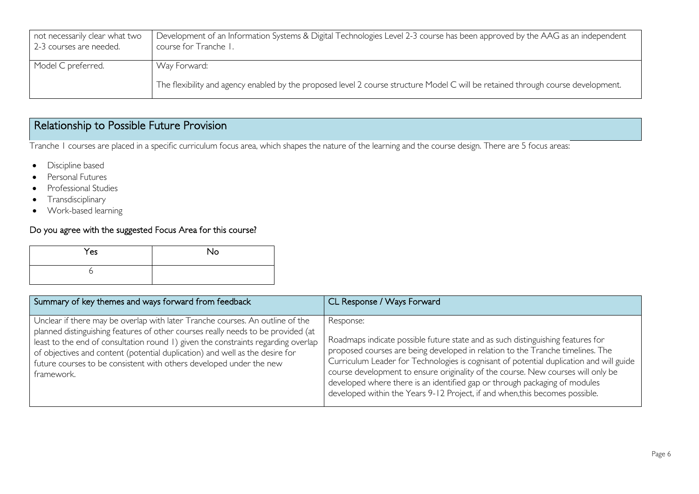| not necessarily clear what two<br>2-3 courses are needed. | Development of an Information Systems & Digital Technologies Level 2-3 course has been approved by the AAG as an independent<br>course for Tranche I. |
|-----------------------------------------------------------|-------------------------------------------------------------------------------------------------------------------------------------------------------|
| Model C preferred.                                        | Way Forward:                                                                                                                                          |
|                                                           | The flexibility and agency enabled by the proposed level 2 course structure Model C will be retained through course development.                      |

## Relationship to Possible Future Provision

Tranche 1 courses are placed in a specific curriculum focus area, which shapes the nature of the learning and the course design. There are 5 focus areas:

- Discipline based
- Personal Futures
- Professional Studies
- Transdisciplinary
- Work-based learning

#### Do you agree with the suggested Focus Area for this course?

| Yes | No |
|-----|----|
|     |    |

| Summary of key themes and ways forward from feedback                                                                                                                                                                                                                                                                                                                                                                        | CL Response / Ways Forward                                                                                                                                                                                                                                                                                                                                                                                                                                                                                                  |
|-----------------------------------------------------------------------------------------------------------------------------------------------------------------------------------------------------------------------------------------------------------------------------------------------------------------------------------------------------------------------------------------------------------------------------|-----------------------------------------------------------------------------------------------------------------------------------------------------------------------------------------------------------------------------------------------------------------------------------------------------------------------------------------------------------------------------------------------------------------------------------------------------------------------------------------------------------------------------|
| Unclear if there may be overlap with later Tranche courses. An outline of the<br>planned distinguishing features of other courses really needs to be provided (at<br>least to the end of consultation round 1) given the constraints regarding overlap<br>of objectives and content (potential duplication) and well as the desire for<br>future courses to be consistent with others developed under the new<br>framework. | Response:<br>Roadmaps indicate possible future state and as such distinguishing features for<br>proposed courses are being developed in relation to the Tranche timelines. The<br>Curriculum Leader for Technologies is cognisant of potential duplication and will guide<br>course development to ensure originality of the course. New courses will only be<br>developed where there is an identified gap or through packaging of modules<br>developed within the Years 9-12 Project, if and when, this becomes possible. |